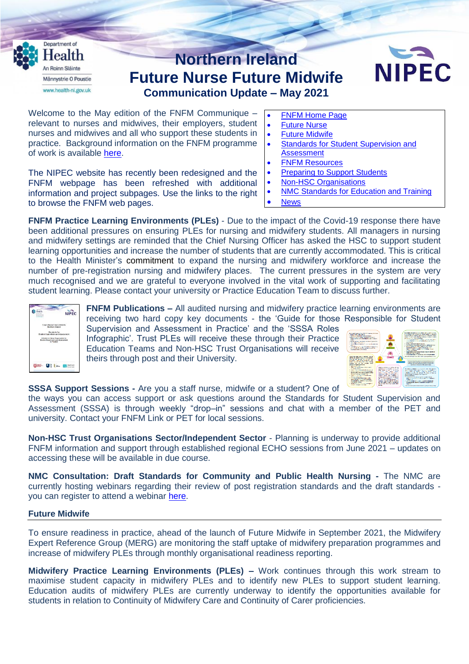

nurses and midwives and all who support these students in practice. Background information on the FNFM programme of work is available [here.](https://nipec.hscni.net/service/fnfm/proj-info-background/)

The NIPEC website has recently been redesigned and the FNFM webpage has been refreshed with additional information and project subpages. Use the links to the right to browse the FNFM web pages.

- 
- **•** Future [Midwife](https://nipec.hscni.net/service/fnfm/future-midwife/)
- Standards for Student [Supervision](https://nipec.hscni.net/service/fnfm/stds-for-student-sup-assessment/) and **[Assessment](https://nipec.hscni.net/service/fnfm/stds-for-student-sup-assessment/)**
- FNFM [Resources](https://nipec.hscni.net/service/fnfm/fnfm-resources/)
- [Preparing](https://nipec.hscni.net/service/fnfm/prep-support-students/) to Support Students
- Non-HSC [Organisations](https://nipec.hscni.net/service/fnfm/non-hsc-organisations/)
- NMC [Standards](https://nipec.hscni.net/service/fnfm/nmc-stds-education-training/) for Education and Training
- **[News](https://nipec.hscni.net/service/fnfm/news/)**

**FNFM Practice Learning Environments (PLEs)** - Due to the impact of the Covid-19 response there have been additional pressures on ensuring PLEs for nursing and midwifery students. All managers in nursing and midwifery settings are reminded that the Chief Nursing Officer has asked the HSC to support student learning opportunities and increase the number of students that are currently accommodated. This is critical to the Health Minister's commitment to expand the nursing and midwifery workforce and increase the number of pre-registration nursing and midwifery places. The current pressures in the system are very much recognised and we are grateful to everyone involved in the vital work of supporting and facilitating student learning. Please contact your university or Practice Education Team to discuss further.



**FNFM Publications –** All audited nursing and midwifery practice learning environments are receiving two hard copy key documents - the 'Guide for those Responsible for Student Supervision and Assessment in Practice' and the 'SSSA Roles

Infographic'. Trust PLEs will receive these through their Practice Education Teams and Non-HSC Trust Organisations will receive theirs through post and their University.



**SSSA Support Sessions -** Are you a staff nurse, midwife or a student? One of

the ways you can access support or ask questions around the Standards for Student Supervision and Assessment (SSSA) is through weekly "drop–in" sessions and chat with a member of the PET and university. Contact your FNFM Link or PET for local sessions.

**Non-HSC Trust Organisations Sector/Independent Sector** - Planning is underway to provide additional FNFM information and support through established regional ECHO sessions from June 2021 – updates on accessing these will be available in due course.

**NMC Consultation: Draft Standards for Community and Public Health Nursing -** The NMC are currently hosting webinars regarding their review of post registration standards and the draft standards you can register to attend a webinar [here.](https://www.nmc.org.uk/about-us/consultations/current-consultations/future-community-nurse/our-consultation-webinars-and-events/)

## **Future Midwife**

To ensure readiness in practice, ahead of the launch of Future Midwife in September 2021, the Midwifery Expert Reference Group (MERG) are monitoring the staff uptake of midwifery preparation programmes and increase of midwifery PLEs through monthly organisational readiness reporting.

**Midwifery Practice Learning Environments (PLEs) –** Work continues through this work stream to maximise student capacity in midwifery PLEs and to identify new PLEs to support student learning. Education audits of midwifery PLEs are currently underway to identify the opportunities available for students in relation to Continuity of Midwifery Care and Continuity of Carer proficiencies.